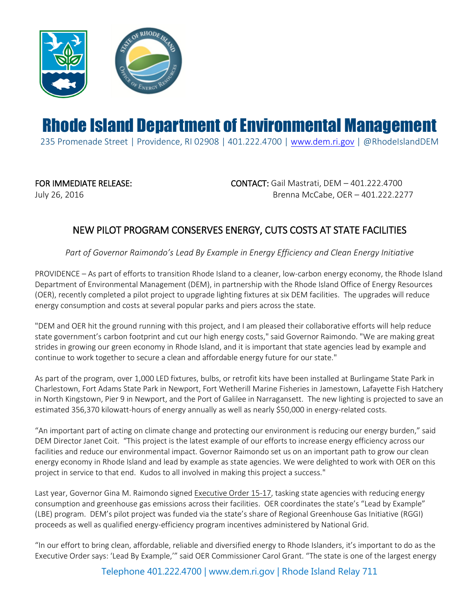

## Rhode Island Department of Environmental Management

235 Promenade Street | Providence, RI 02908 | 401.222.4700 | [www.dem.ri.gov](http://www.dem.ri.gov/) | @RhodeIslandDEM

FOR IMMEDIATE RELEASE: CONTACT: Gail Mastrati, DEM – 401.222.4700 July 26, 2016 Brenna McCabe, OER – 401.222.2277

## NEW PILOT PROGRAM CONSERVES ENERGY, CUTS COSTS AT STATE FACILITIES

*Part of Governor Raimondo's Lead By Example in Energy Efficiency and Clean Energy Initiative*

PROVIDENCE – As part of efforts to transition Rhode Island to a cleaner, low-carbon energy economy, the Rhode Island Department of Environmental Management (DEM), in partnership with the Rhode Island Office of Energy Resources (OER), recently completed a pilot project to upgrade lighting fixtures at six DEM facilities. The upgrades will reduce energy consumption and costs at several popular parks and piers across the state.

"DEM and OER hit the ground running with this project, and I am pleased their collaborative efforts will help reduce state government's carbon footprint and cut our high energy costs," said Governor Raimondo. "We are making great strides in growing our green economy in Rhode Island, and it is important that state agencies lead by example and continue to work together to secure a clean and affordable energy future for our state."

As part of the program, over 1,000 LED fixtures, bulbs, or retrofit kits have been installed at Burlingame State Park in Charlestown, Fort Adams State Park in Newport, Fort Wetherill Marine Fisheries in Jamestown, Lafayette Fish Hatchery in North Kingstown, Pier 9 in Newport, and the Port of Galilee in Narragansett. The new lighting is projected to save an estimated 356,370 kilowatt-hours of energy annually as well as nearly \$50,000 in energy-related costs.

"An important part of acting on climate change and protecting our environment is reducing our energy burden," said DEM Director Janet Coit. "This project is the latest example of our efforts to increase energy efficiency across our facilities and reduce our environmental impact. Governor Raimondo set us on an important path to grow our clean energy economy in Rhode Island and lead by example as state agencies. We were delighted to work with OER on this project in service to that end. Kudos to all involved in making this project a success."

Last year, Governor Gina M. Raimondo signed [Executive Order 15-17,](http://www.energy.ri.gov/documents/leadbyexample/ExecOrder15-17.pdf) tasking state agencies with reducing energy consumption and greenhouse gas emissions across their facilities. OER coordinates the state's "Lead by Example" (LBE) program. DEM's pilot project was funded via the state's share of Regional Greenhouse Gas Initiative (RGGI) proceeds as well as qualified energy-efficiency program incentives administered by National Grid.

"In our effort to bring clean, affordable, reliable and diversified energy to Rhode Islanders, it's important to do as the Executive Order says: 'Lead By Example,'" said OER Commissioner Carol Grant. "The state is one of the largest energy

Telephone 401.222.4700 | www.dem.ri.gov | Rhode Island Relay 711